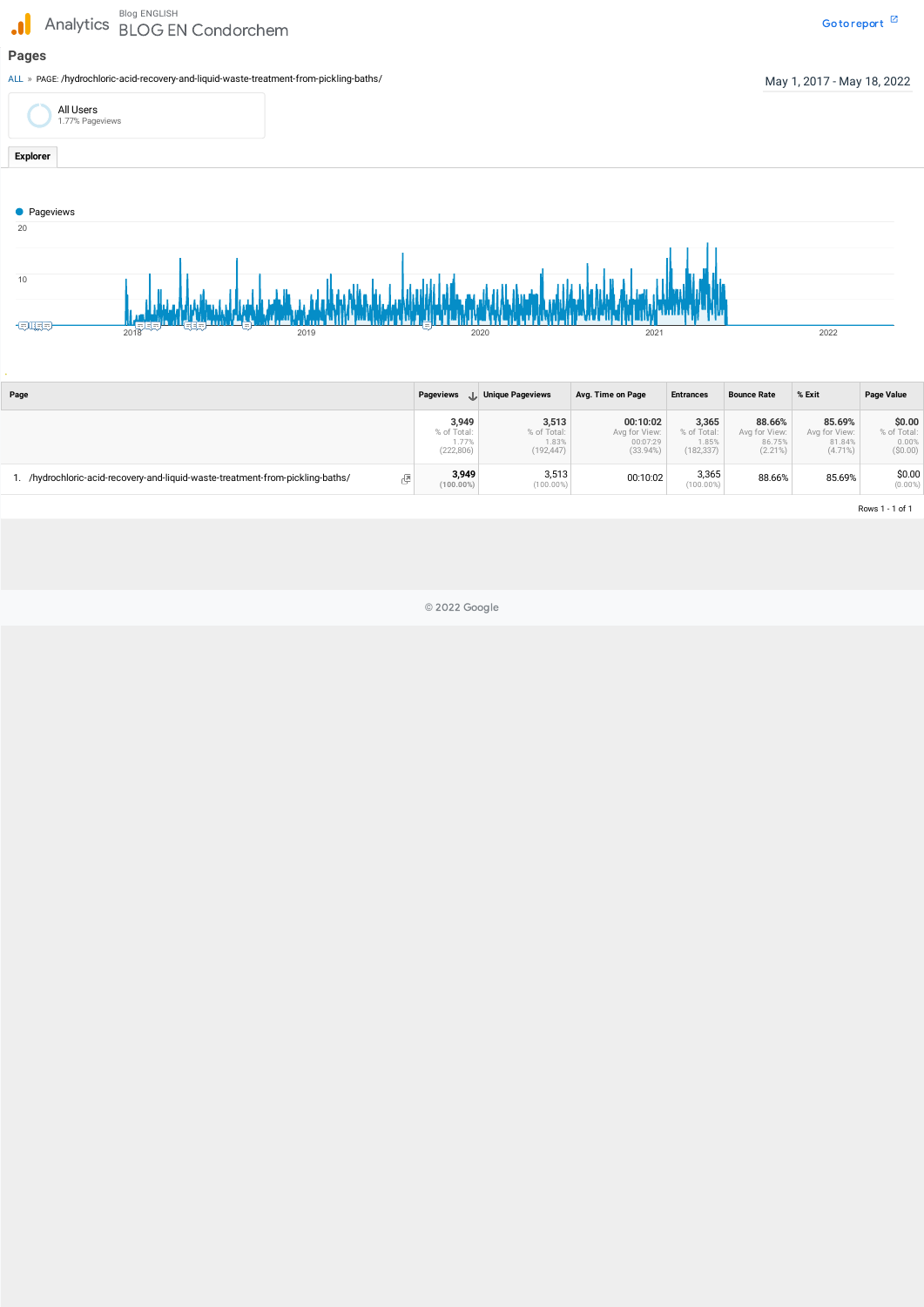Rows 1 - 1 of 1

## **Pages**



## **Explorer**

| Page                                                                                | <b>Pageviews</b>                           | <b>Unique Pageviews</b>                     | Avg. Time on Page                                | <b>Entrances</b>                            | <b>Bounce Rate</b>                              | % Exit                                          | <b>Page Value</b>                             |
|-------------------------------------------------------------------------------------|--------------------------------------------|---------------------------------------------|--------------------------------------------------|---------------------------------------------|-------------------------------------------------|-------------------------------------------------|-----------------------------------------------|
|                                                                                     | 3,949<br>% of Total:<br>1.77%<br>(222,806) | 3,513<br>% of Total:<br>1.83%<br>(192, 447) | 00:10:02<br>Avg for View:<br>00:07:29<br>(33.94% | 3,365<br>% of Total:<br>1.85%<br>(182, 337) | 88.66%<br>Avg for View:<br>86.75%<br>$(2.21\%)$ | 85.69%<br>Avg for View:<br>81.84%<br>$(4.71\%)$ | \$0.00<br>% of Total:<br>0.00%<br>$($ \$0.00) |
| 1. /hydrochloric-acid-recovery-and-liquid-waste-treatment-from-pickling-baths/<br>ඌ | 3,949<br>$(100.00\%)$                      | 3,513<br>$(100.00\%)$                       | 00:10:02                                         | 3,365<br>$(100.00\%)$                       | 88.66%                                          | 85.69%                                          | \$0.00<br>$(0.00\%)$                          |



© 2022 Google